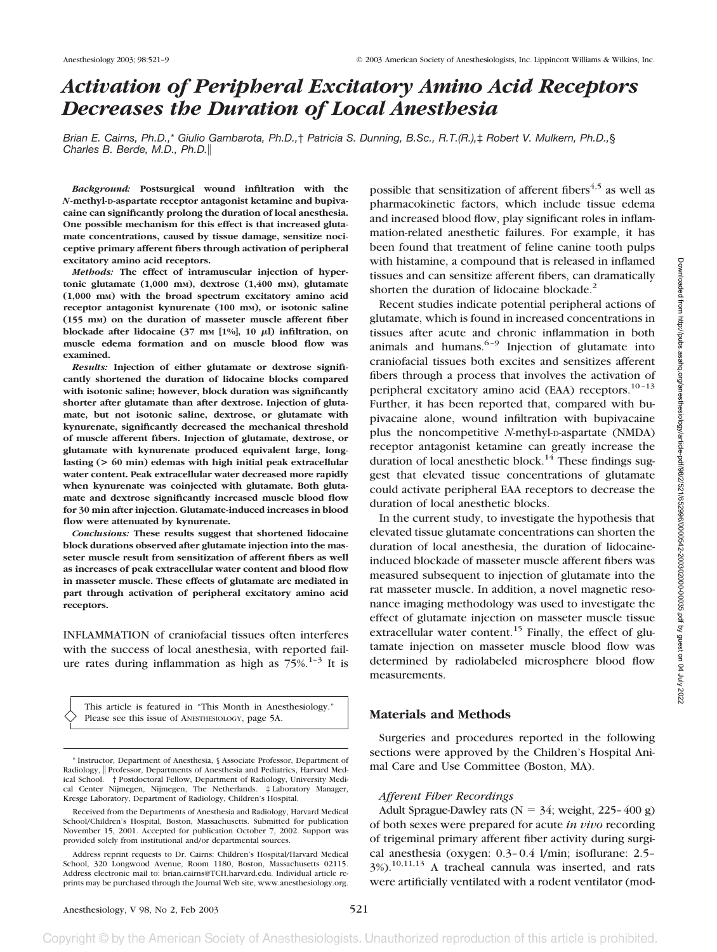# *Activation of Peripheral Excitatory Amino Acid Receptors Decreases the Duration of Local Anesthesia*

*Brian E. Cairns, Ph.D.,*\* *Giulio Gambarota, Ph.D.,*† *Patricia S. Dunning, B.Sc., R.T.(R.),*‡ *Robert V. Mulkern, Ph.D.,*§ *Charles B. Berde, M.D., Ph.D.*

*Background:* **Postsurgical wound infiltration with the** *N***-methyl-D-aspartate receptor antagonist ketamine and bupivacaine can significantly prolong the duration of local anesthesia. One possible mechanism for this effect is that increased glutamate concentrations, caused by tissue damage, sensitize nociceptive primary afferent fibers through activation of peripheral excitatory amino acid receptors.**

*Methods:* **The effect of intramuscular injection of hypertonic glutamate (1,000 mM), dextrose (1,400 mM), glutamate (1,000 mM) with the broad spectrum excitatory amino acid receptor antagonist kynurenate (100 mM), or isotonic saline (155 mM) on the duration of masseter muscle afferent fiber blockade after lidocaine** (37 mm [1%], 10  $\mu$ I) infiltration, on **muscle edema formation and on muscle blood flow was examined.**

*Results:* **Injection of either glutamate or dextrose significantly shortened the duration of lidocaine blocks compared with isotonic saline; however, block duration was significantly shorter after glutamate than after dextrose. Injection of glutamate, but not isotonic saline, dextrose, or glutamate with kynurenate, significantly decreased the mechanical threshold of muscle afferent fibers. Injection of glutamate, dextrose, or glutamate with kynurenate produced equivalent large, longlasting (> 60 min) edemas with high initial peak extracellular water content. Peak extracellular water decreased more rapidly when kynurenate was coinjected with glutamate. Both glutamate and dextrose significantly increased muscle blood flow for 30 min after injection. Glutamate-induced increases in blood flow were attenuated by kynurenate.**

*Conclusions:* **These results suggest that shortened lidocaine block durations observed after glutamate injection into the masseter muscle result from sensitization of afferent fibers as well as increases of peak extracellular water content and blood flow in masseter muscle. These effects of glutamate are mediated in part through activation of peripheral excitatory amino acid receptors.**

INFLAMMATION of craniofacial tissues often interferes with the success of local anesthesia, with reported failure rates during inflammation as high as  $75\%$ .<sup>1-3</sup> It is

This article is featured in "This Month in Anesthesiology." Please see this issue of ANESTHESIOLOGY, page 5A.

\* Instructor, Department of Anesthesia, § Associate Professor, Department of Radiology, || Professor, Departments of Anesthesia and Pediatrics, Harvard Medical School. † Postdoctoral Fellow, Department of Radiology, University Medical Center Nijmegen, Nijmegen, The Netherlands. ‡ Laboratory Manager, Kresge Laboratory, Department of Radiology, Children's Hospital.

Received from the Departments of Anesthesia and Radiology, Harvard Medical School/Children's Hospital, Boston, Massachusetts. Submitted for publication November 15, 2001. Accepted for publication October 7, 2002. Support was provided solely from institutional and/or departmental sources.

Address reprint requests to Dr. Cairns: Children's Hospital/Harvard Medical School, 320 Longwood Avenue, Room 1180, Boston, Massachusetts 02115. Address electronic mail to: brian.cairns@TCH.harvard.edu. Individual article reprints may be purchased through the Journal Web site, www.anesthesiology.org.

possible that sensitization of afferent fibers<sup>4,5</sup> as well as pharmacokinetic factors, which include tissue edema and increased blood flow, play significant roles in inflammation-related anesthetic failures. For example, it has been found that treatment of feline canine tooth pulps with histamine, a compound that is released in inflamed tissues and can sensitize afferent fibers, can dramatically shorten the duration of lidocaine blockade. $2$ 

Recent studies indicate potential peripheral actions of glutamate, which is found in increased concentrations in tissues after acute and chronic inflammation in both animals and humans.  $6-9$  Injection of glutamate into craniofacial tissues both excites and sensitizes afferent fibers through a process that involves the activation of peripheral excitatory amino acid (EAA) receptors. $10-13$ Further, it has been reported that, compared with bupivacaine alone, wound infiltration with bupivacaine plus the noncompetitive *N*-methyl-D-aspartate (NMDA) receptor antagonist ketamine can greatly increase the duration of local anesthetic block.<sup>14</sup> These findings suggest that elevated tissue concentrations of glutamate could activate peripheral EAA receptors to decrease the duration of local anesthetic blocks.

In the current study, to investigate the hypothesis that elevated tissue glutamate concentrations can shorten the duration of local anesthesia, the duration of lidocaineinduced blockade of masseter muscle afferent fibers was measured subsequent to injection of glutamate into the rat masseter muscle. In addition, a novel magnetic resonance imaging methodology was used to investigate the effect of glutamate injection on masseter muscle tissue extracellular water content.<sup>15</sup> Finally, the effect of glutamate injection on masseter muscle blood flow was determined by radiolabeled microsphere blood flow measurements.

# **Materials and Methods**

Surgeries and procedures reported in the following sections were approved by the Children's Hospital Animal Care and Use Committee (Boston, MA).

## *Afferent Fiber Recordings*

Adult Sprague-Dawley rats ( $N = 34$ ; weight, 225–400 g) of both sexes were prepared for acute *in vivo* recording of trigeminal primary afferent fiber activity during surgical anesthesia (oxygen: 0.3–0.4 l/min; isoflurane: 2.5–  $3\%$ ).<sup>10,11,13</sup> A tracheal cannula was inserted, and rats were artificially ventilated with a rodent ventilator (mod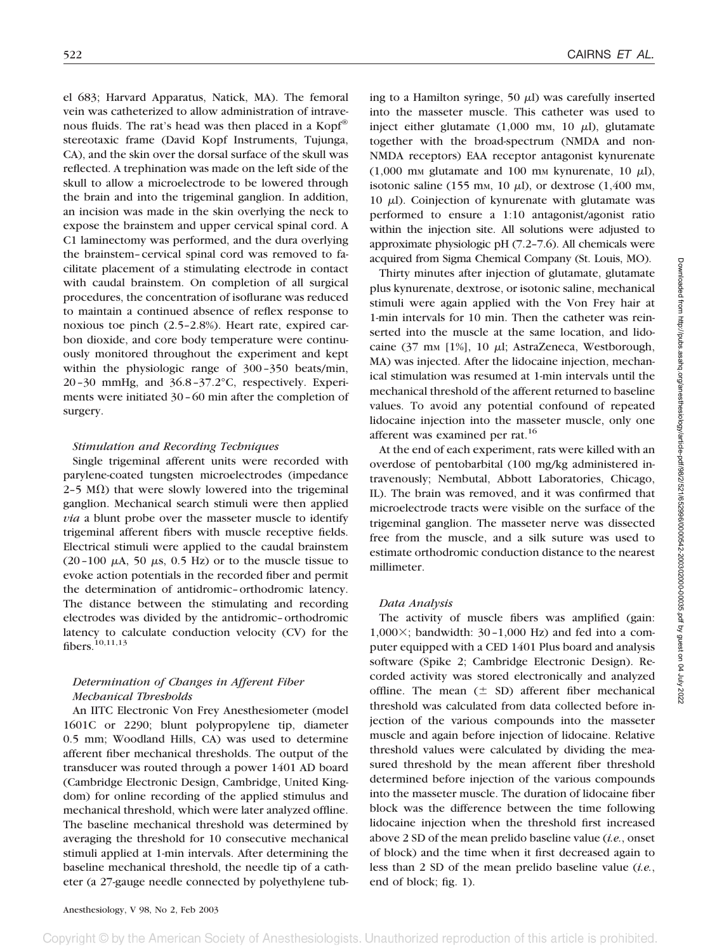el 683; Harvard Apparatus, Natick, MA). The femoral vein was catheterized to allow administration of intravenous fluids. The rat's head was then placed in a Kopf® stereotaxic frame (David Kopf Instruments, Tujunga, CA), and the skin over the dorsal surface of the skull was reflected. A trephination was made on the left side of the skull to allow a microelectrode to be lowered through the brain and into the trigeminal ganglion. In addition, an incision was made in the skin overlying the neck to expose the brainstem and upper cervical spinal cord. A C1 laminectomy was performed, and the dura overlying the brainstem–cervical spinal cord was removed to facilitate placement of a stimulating electrode in contact with caudal brainstem. On completion of all surgical procedures, the concentration of isoflurane was reduced to maintain a continued absence of reflex response to noxious toe pinch (2.5–2.8%). Heart rate, expired carbon dioxide, and core body temperature were continuously monitored throughout the experiment and kept within the physiologic range of 300–350 beats/min, 20–30 mmHg, and 36.8–37.2°C, respectively. Experiments were initiated 30–60 min after the completion of surgery.

### *Stimulation and Recording Techniques*

Single trigeminal afferent units were recorded with parylene-coated tungsten microelectrodes (impedance  $2-5$  M $\Omega$ ) that were slowly lowered into the trigeminal ganglion. Mechanical search stimuli were then applied *via* a blunt probe over the masseter muscle to identify trigeminal afferent fibers with muscle receptive fields. Electrical stimuli were applied to the caudal brainstem (20–100  $\mu$ A, 50  $\mu$ s, 0.5 Hz) or to the muscle tissue to evoke action potentials in the recorded fiber and permit the determination of antidromic–orthodromic latency. The distance between the stimulating and recording electrodes was divided by the antidromic–orthodromic latency to calculate conduction velocity (CV) for the fibers.10,11,13

# *Determination of Changes in Afferent Fiber Mechanical Thresholds*

An IITC Electronic Von Frey Anesthesiometer (model 1601C or 2290; blunt polypropylene tip, diameter 0.5 mm; Woodland Hills, CA) was used to determine afferent fiber mechanical thresholds. The output of the transducer was routed through a power 1401 AD board (Cambridge Electronic Design, Cambridge, United Kingdom) for online recording of the applied stimulus and mechanical threshold, which were later analyzed offline. The baseline mechanical threshold was determined by averaging the threshold for 10 consecutive mechanical stimuli applied at 1-min intervals. After determining the baseline mechanical threshold, the needle tip of a catheter (a 27-gauge needle connected by polyethylene tubing to a Hamilton syringe,  $50 \mu$ ) was carefully inserted into the masseter muscle. This catheter was used to inject either glutamate  $(1,000 \text{ mm}, 10 \text{ }\mu\text{I})$ , glutamate together with the broad-spectrum (NMDA and non-NMDA receptors) EAA receptor antagonist kynurenate (1,000 mm glutamate and 100 mm kynurenate, 10  $\mu$ l), isotonic saline (155 mm, 10  $\mu$ I), or dextrose (1,400 mm, 10  $\mu$ l). Coinjection of kynurenate with glutamate was performed to ensure a 1:10 antagonist/agonist ratio within the injection site. All solutions were adjusted to approximate physiologic pH (7.2–7.6). All chemicals were acquired from Sigma Chemical Company (St. Louis, MO).

Thirty minutes after injection of glutamate, glutamate plus kynurenate, dextrose, or isotonic saline, mechanical stimuli were again applied with the Von Frey hair at 1-min intervals for 10 min. Then the catheter was reinserted into the muscle at the same location, and lidocaine (37 mm [1%], 10  $\mu$ l; AstraZeneca, Westborough, MA) was injected. After the lidocaine injection, mechanical stimulation was resumed at 1-min intervals until the mechanical threshold of the afferent returned to baseline values. To avoid any potential confound of repeated lidocaine injection into the masseter muscle, only one afferent was examined per rat.<sup>16</sup>

At the end of each experiment, rats were killed with an overdose of pentobarbital (100 mg/kg administered intravenously; Nembutal, Abbott Laboratories, Chicago, IL). The brain was removed, and it was confirmed that microelectrode tracts were visible on the surface of the trigeminal ganglion. The masseter nerve was dissected free from the muscle, and a silk suture was used to estimate orthodromic conduction distance to the nearest millimeter.

## *Data Analysis*

The activity of muscle fibers was amplified (gain:  $1,000\times$ ; bandwidth: 30–1,000 Hz) and fed into a computer equipped with a CED 1401 Plus board and analysis software (Spike 2; Cambridge Electronic Design). Recorded activity was stored electronically and analyzed offline. The mean  $(\pm$  SD) afferent fiber mechanical threshold was calculated from data collected before injection of the various compounds into the masseter muscle and again before injection of lidocaine. Relative threshold values were calculated by dividing the measured threshold by the mean afferent fiber threshold determined before injection of the various compounds into the masseter muscle. The duration of lidocaine fiber block was the difference between the time following lidocaine injection when the threshold first increased above 2 SD of the mean prelido baseline value (*i.e.*, onset of block) and the time when it first decreased again to less than 2 SD of the mean prelido baseline value (*i.e.*, end of block; fig. 1).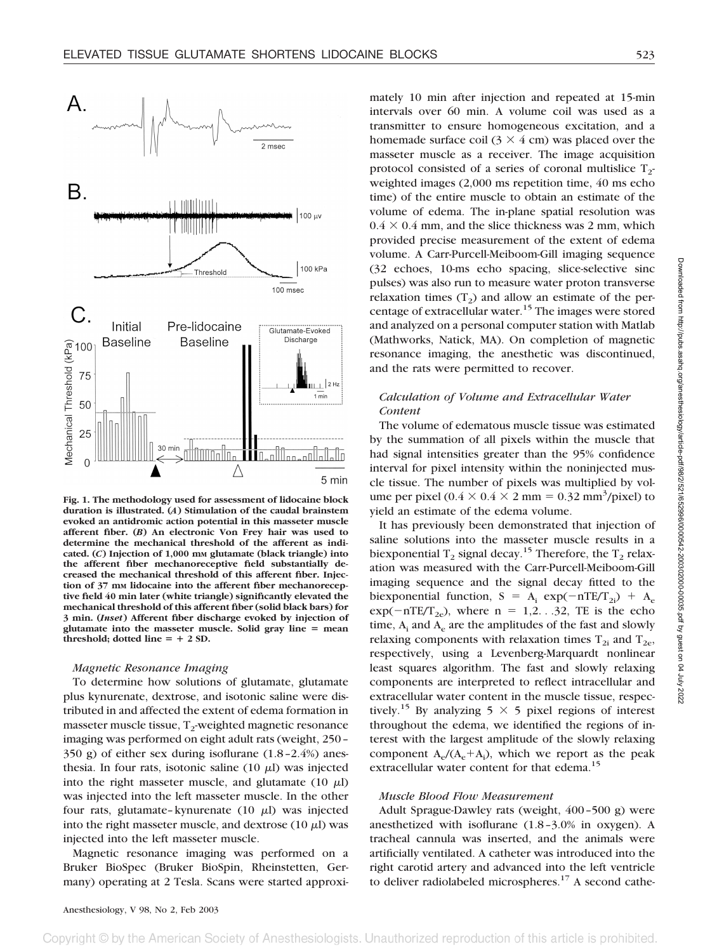

**Fig. 1. The methodology used for assessment of lidocaine block duration is illustrated. (***A***) Stimulation of the caudal brainstem evoked an antidromic action potential in this masseter muscle afferent fiber. (***B***) An electronic Von Frey hair was used to determine the mechanical threshold of the afferent as indicated. (***C***) Injection of 1,000 mM glutamate (black triangle) into the afferent fiber mechanoreceptive field substantially decreased the mechanical threshold of this afferent fiber. Injec**tion of 37 mm lidocaine into the afferent fiber mechanorecep**tive field 40 min later (white triangle) significantly elevated the mechanical threshold of this afferent fiber (solid black bars) for 3 min. (***Inset***) Afferent fiber discharge evoked by injection of** glutamate into the masseter muscle. Solid gray line = mean  $threshold; dotted line = + 2 SD$ .

#### *Magnetic Resonance Imaging*

To determine how solutions of glutamate, glutamate plus kynurenate, dextrose, and isotonic saline were distributed in and affected the extent of edema formation in masseter muscle tissue,  $T_2$ -weighted magnetic resonance imaging was performed on eight adult rats (weight, 250– 350 g) of either sex during isoflurane (1.8–2.4%) anesthesia. In four rats, isotonic saline (10  $\mu$ I) was injected into the right masseter muscle, and glutamate (10  $\mu$ l) was injected into the left masseter muscle. In the other four rats, glutamate–kynurenate  $(10 \mu l)$  was injected into the right masseter muscle, and dextrose  $(10 \mu l)$  was injected into the left masseter muscle.

Magnetic resonance imaging was performed on a Bruker BioSpec (Bruker BioSpin, Rheinstetten, Germany) operating at 2 Tesla. Scans were started approxi-

mately 10 min after injection and repeated at 15-min intervals over 60 min. A volume coil was used as a transmitter to ensure homogeneous excitation, and a homemade surface coil  $(3 \times 4 \text{ cm})$  was placed over the masseter muscle as a receiver. The image acquisition protocol consisted of a series of coronal multislice  $T_2$ weighted images (2,000 ms repetition time, 40 ms echo time) of the entire muscle to obtain an estimate of the volume of edema. The in-plane spatial resolution was  $0.4 \times 0.4$  mm, and the slice thickness was 2 mm, which provided precise measurement of the extent of edema volume. A Carr-Purcell-Meiboom-Gill imaging sequence (32 echoes, 10-ms echo spacing, slice-selective sinc pulses) was also run to measure water proton transverse relaxation times  $(T_2)$  and allow an estimate of the percentage of extracellular water.<sup>15</sup> The images were stored and analyzed on a personal computer station with Matlab (Mathworks, Natick, MA). On completion of magnetic resonance imaging, the anesthetic was discontinued, and the rats were permitted to recover.

# *Calculation of Volume and Extracellular Water Content*

The volume of edematous muscle tissue was estimated by the summation of all pixels within the muscle that had signal intensities greater than the 95% confidence interval for pixel intensity within the noninjected muscle tissue. The number of pixels was multiplied by volume per pixel  $(0.4 \times 0.4 \times 2 \text{ mm} = 0.32 \text{ mm}^3/\text{pixel})$  to yield an estimate of the edema volume.

It has previously been demonstrated that injection of saline solutions into the masseter muscle results in a biexponential T<sub>2</sub> signal decay.<sup>15</sup> Therefore, the T<sub>2</sub> relaxation was measured with the Carr-Purcell-Meiboom-Gill imaging sequence and the signal decay fitted to the biexponential function,  $S = A_i \exp(-nTE/T_{2i}) + A_e$  $exp(-nTE/T_{2e})$ , where  $n = 1,2, . .32, TE$  is the echo time,  $A_i$  and  $A_e$  are the amplitudes of the fast and slowly relaxing components with relaxation times  $T_{2i}$  and  $T_{2e}$ , respectively, using a Levenberg-Marquardt nonlinear least squares algorithm. The fast and slowly relaxing components are interpreted to reflect intracellular and extracellular water content in the muscle tissue, respectively.<sup>15</sup> By analyzing 5  $\times$  5 pixel regions of interest throughout the edema, we identified the regions of interest with the largest amplitude of the slowly relaxing component  $A_e/(A_e+A_i)$ , which we report as the peak extracellular water content for that edema.<sup>15</sup>

#### *Muscle Blood Flow Measurement*

Adult Sprague-Dawley rats (weight, 400–500 g) were anesthetized with isoflurane (1.8–3.0% in oxygen). A tracheal cannula was inserted, and the animals were artificially ventilated. A catheter was introduced into the right carotid artery and advanced into the left ventricle to deliver radiolabeled microspheres.<sup>17</sup> A second cathe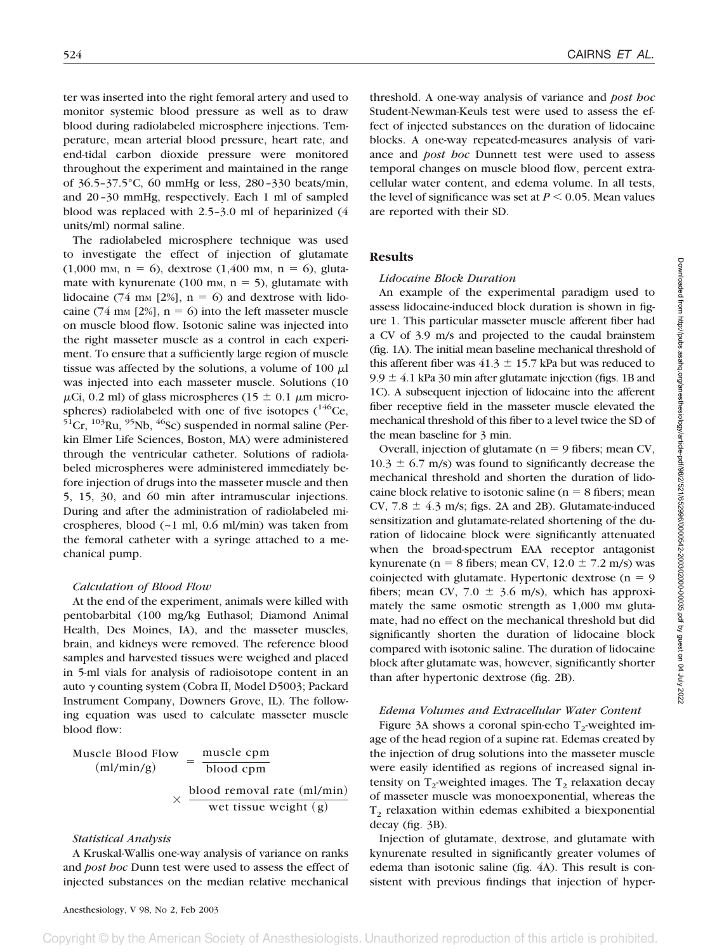ter was inserted into the right femoral artery and used to monitor systemic blood pressure as well as to draw blood during radiolabeled microsphere injections. Temperature, mean arterial blood pressure, heart rate, and end-tidal carbon dioxide pressure were monitored throughout the experiment and maintained in the range of 36.5–37.5°C, 60 mmHg or less, 280–330 beats/min, and 20–30 mmHg, respectively. Each 1 ml of sampled blood was replaced with 2.5–3.0 ml of heparinized (4 units/ml) normal saline.

The radiolabeled microsphere technique was used to investigate the effect of injection of glutamate  $(1,000 \text{ mm}, n = 6)$ , dextrose  $(1,400 \text{ mm}, n = 6)$ , glutamate with kynurenate (100 mm,  $n = 5$ ), glutamate with lidocaine (74 mm [2%],  $n = 6$ ) and dextrose with lidocaine (74 mm [2%],  $n = 6$ ) into the left masseter muscle on muscle blood flow. Isotonic saline was injected into the right masseter muscle as a control in each experiment. To ensure that a sufficiently large region of muscle tissue was affected by the solutions, a volume of 100  $\mu$ l was injected into each masseter muscle. Solutions (10  $\mu$ Ci, 0.2 ml) of glass microspheres (15  $\pm$  0.1  $\mu$ m microspheres) radiolabeled with one of five isotopes  $(^{146}Ce$ ,  ${}^{51}$ Cr,  ${}^{103}$ Ru,  ${}^{95}$ Nb,  ${}^{46}$ Sc) suspended in normal saline (Perkin Elmer Life Sciences, Boston, MA) were administered through the ventricular catheter. Solutions of radiolabeled microspheres were administered immediately before injection of drugs into the masseter muscle and then 5, 15, 30, and 60 min after intramuscular injections. During and after the administration of radiolabeled microspheres, blood (~1 ml, 0.6 ml/min) was taken from the femoral catheter with a syringe attached to a mechanical pump.

## *Calculation of Blood Flow*

At the end of the experiment, animals were killed with pentobarbital (100 mg/kg Euthasol; Diamond Animal Health, Des Moines, IA), and the masseter muscles, brain, and kidneys were removed. The reference blood samples and harvested tissues were weighed and placed in 5-ml vials for analysis of radioisotope content in an auto  $\gamma$  counting system (Cobra II, Model D5003; Packard Instrument Company, Downers Grove, IL). The following equation was used to calculate masseter muscle blood flow:

Muscle Blood Flow

\n
$$
\frac{\text{muscle cpm}}{\text{(ml/min/g)}} = \frac{\text{muscle cpm}}{\text{blood cpm}}
$$
\n
$$
\times \frac{\text{blood removal rate (ml/min)}}{\text{wett issue weight (g)}}
$$

#### *Statistical Analysis*

A Kruskal-Wallis one-way analysis of variance on ranks and *post hoc* Dunn test were used to assess the effect of injected substances on the median relative mechanical

threshold. A one-way analysis of variance and *post hoc* Student-Newman-Keuls test were used to assess the effect of injected substances on the duration of lidocaine blocks. A one-way repeated-measures analysis of variance and *post hoc* Dunnett test were used to assess temporal changes on muscle blood flow, percent extracellular water content, and edema volume. In all tests, the level of significance was set at  $P \leq 0.05$ . Mean values are reported with their SD.

# **Results**

### *Lidocaine Block Duration*

An example of the experimental paradigm used to assess lidocaine-induced block duration is shown in figure 1. This particular masseter muscle afferent fiber had a CV of 3.9 m/s and projected to the caudal brainstem (fig. 1A). The initial mean baseline mechanical threshold of this afferent fiber was  $41.3 \pm 15.7$  kPa but was reduced to  $9.9 \pm 4.1$  kPa 30 min after glutamate injection (figs. 1B and 1C). A subsequent injection of lidocaine into the afferent fiber receptive field in the masseter muscle elevated the mechanical threshold of this fiber to a level twice the SD of the mean baseline for 3 min.

Overall, injection of glutamate ( $n = 9$  fibers; mean CV,  $10.3 \pm 6.7$  m/s) was found to significantly decrease the mechanical threshold and shorten the duration of lidocaine block relative to isotonic saline ( $n = 8$  fibers; mean CV,  $7.8 \pm 4.3$  m/s; figs. 2A and 2B). Glutamate-induced sensitization and glutamate-related shortening of the duration of lidocaine block were significantly attenuated when the broad-spectrum EAA receptor antagonist kynurenate (n = 8 fibers; mean CV,  $12.0 \pm 7.2$  m/s) was coinjected with glutamate. Hypertonic dextrose ( $n = 9$ ) fibers; mean CV, 7.0  $\pm$  3.6 m/s), which has approximately the same osmotic strength as  $1,000$  mm glutamate, had no effect on the mechanical threshold but did significantly shorten the duration of lidocaine block compared with isotonic saline. The duration of lidocaine block after glutamate was, however, significantly shorter than after hypertonic dextrose (fig. 2B).

## *Edema Volumes and Extracellular Water Content*

Figure 3A shows a coronal spin-echo  $T_2$ -weighted image of the head region of a supine rat. Edemas created by the injection of drug solutions into the masseter muscle were easily identified as regions of increased signal intensity on  $T_2$ -weighted images. The  $T_2$  relaxation decay of masseter muscle was monoexponential, whereas the  $T<sub>2</sub>$  relaxation within edemas exhibited a biexponential decay (fig. 3B).

Injection of glutamate, dextrose, and glutamate with kynurenate resulted in significantly greater volumes of edema than isotonic saline (fig. 4A). This result is consistent with previous findings that injection of hyper-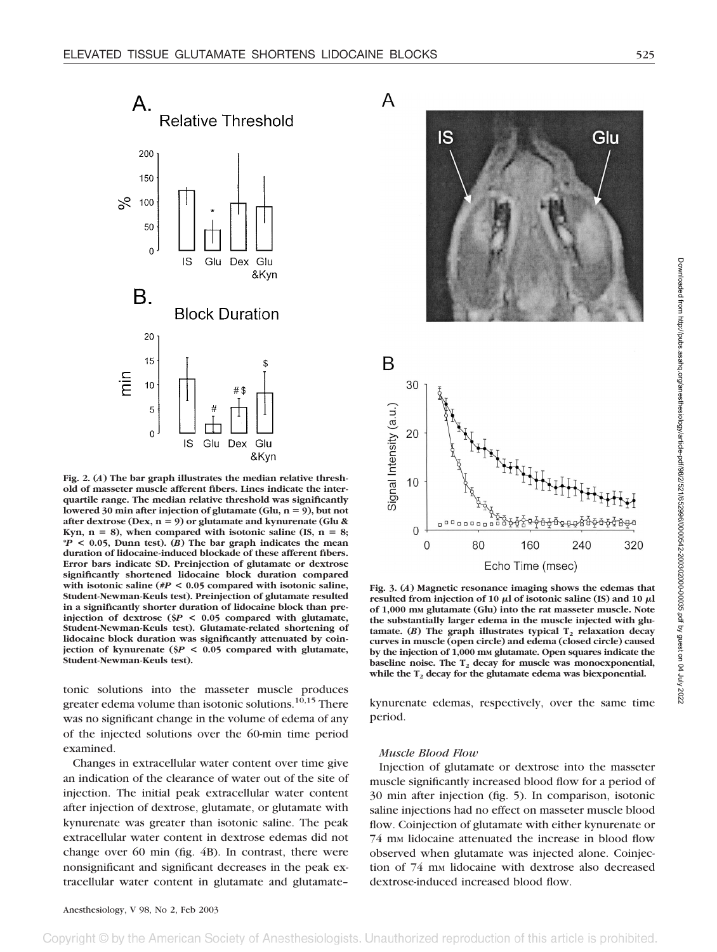A



**Fig. 2. (***A***) The bar graph illustrates the median relative threshold of masseter muscle afferent fibers. Lines indicate the interquartile range. The median relative threshold was significantly** lowered 30 min after injection of glutamate (Glu, n = 9), but not **after dextrose (Dex, n** - **9) or glutamate and kynurenate (Glu &** Kyn,  $n = 8$ ), when compared with isotonic saline (IS,  $n = 8$ ; **\****P* **< 0.05, Dunn test). (***B***) The bar graph indicates the mean duration of lidocaine-induced blockade of these afferent fibers. Error bars indicate SD. Preinjection of glutamate or dextrose significantly shortened lidocaine block duration compared with isotonic saline (#***P* **< 0.05 compared with isotonic saline, Student-Newman-Keuls test). Preinjection of glutamate resulted in a significantly shorter duration of lidocaine block than preinjection of dextrose (\$***P* **< 0.05 compared with glutamate, Student-Newman-Keuls test). Glutamate-related shortening of lidocaine block duration was significantly attenuated by coinjection of kynurenate (\$***P* **< 0.05 compared with glutamate, Student-Newman-Keuls test).**

tonic solutions into the masseter muscle produces greater edema volume than isotonic solutions.<sup>10,15</sup> There was no significant change in the volume of edema of any of the injected solutions over the 60-min time period examined.

Changes in extracellular water content over time give an indication of the clearance of water out of the site of injection. The initial peak extracellular water content after injection of dextrose, glutamate, or glutamate with kynurenate was greater than isotonic saline. The peak extracellular water content in dextrose edemas did not change over 60 min (fig. 4B). In contrast, there were nonsignificant and significant decreases in the peak extracellular water content in glutamate and glutamate–





**Fig. 3. (***A***) Magnetic resonance imaging shows the edemas that** resulted from injection of 10  $\mu$ l of isotonic saline (IS) and 10  $\mu$ l **of 1,000 mM glutamate (Glu) into the rat masseter muscle. Note the substantially larger edema in the muscle injected with glu** $t$ amate. (*B*) The graph illustrates typical  $T_2$  relaxation decay **curves in muscle (open circle) and edema (closed circle) caused by the injection of 1,000 mM glutamate. Open squares indicate the** baseline noise. The T<sub>2</sub> decay for muscle was monoexponential, while the T<sub>2</sub> decay for the glutamate edema was biexponential.

kynurenate edemas, respectively, over the same time period.

#### *Muscle Blood Flow*

Injection of glutamate or dextrose into the masseter muscle significantly increased blood flow for a period of 30 min after injection (fig. 5). In comparison, isotonic saline injections had no effect on masseter muscle blood flow. Coinjection of glutamate with either kynurenate or 74 mm lidocaine attenuated the increase in blood flow observed when glutamate was injected alone. Coinjection of 74 mm lidocaine with dextrose also decreased dextrose-induced increased blood flow.

Society of Anesthesiologists nauthorized reproduction of this article is prohibited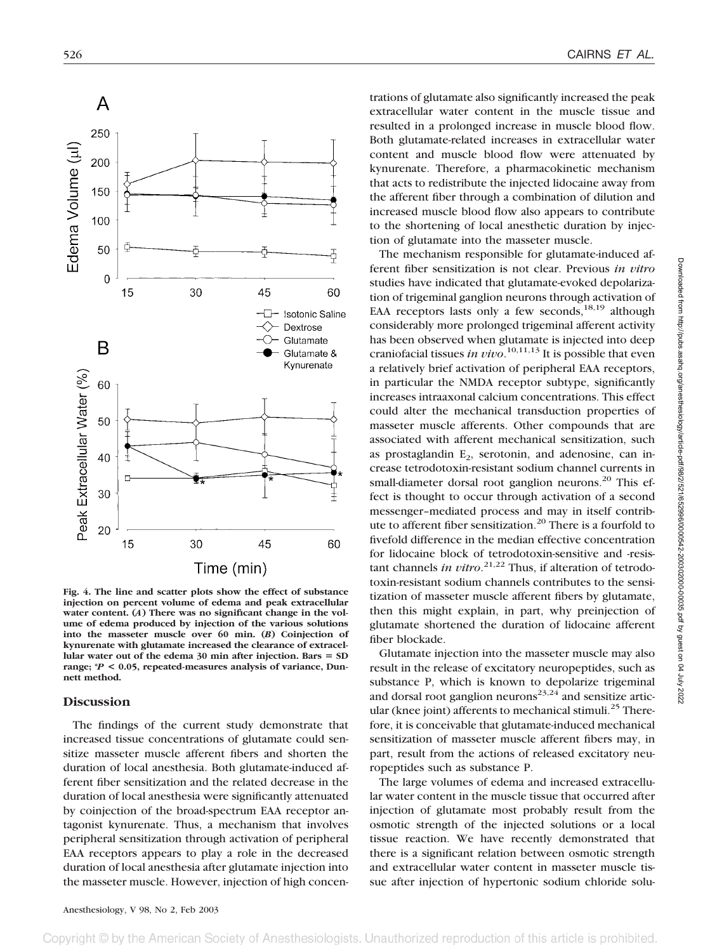

**Fig. 4. The line and scatter plots show the effect of substance injection on percent volume of edema and peak extracellular water content. (***A***) There was no significant change in the volume of edema produced by injection of the various solutions into the masseter muscle over 60 min. (***B***) Coinjection of kynurenate with glutamate increased the clearance of extracel**lular water out of the edema 30 min after injection. Bars = SD **range; \****P* **< 0.05, repeated-measures analysis of variance, Dunnett method.**

# **Discussion**

The findings of the current study demonstrate that increased tissue concentrations of glutamate could sensitize masseter muscle afferent fibers and shorten the duration of local anesthesia. Both glutamate-induced afferent fiber sensitization and the related decrease in the duration of local anesthesia were significantly attenuated by coinjection of the broad-spectrum EAA receptor antagonist kynurenate. Thus, a mechanism that involves peripheral sensitization through activation of peripheral EAA receptors appears to play a role in the decreased duration of local anesthesia after glutamate injection into the masseter muscle. However, injection of high concen-

trations of glutamate also significantly increased the peak extracellular water content in the muscle tissue and resulted in a prolonged increase in muscle blood flow. Both glutamate-related increases in extracellular water content and muscle blood flow were attenuated by kynurenate. Therefore, a pharmacokinetic mechanism that acts to redistribute the injected lidocaine away from the afferent fiber through a combination of dilution and increased muscle blood flow also appears to contribute to the shortening of local anesthetic duration by injection of glutamate into the masseter muscle.

The mechanism responsible for glutamate-induced afferent fiber sensitization is not clear. Previous *in vitro* studies have indicated that glutamate-evoked depolarization of trigeminal ganglion neurons through activation of EAA receptors lasts only a few seconds,  $18,19$  although considerably more prolonged trigeminal afferent activity has been observed when glutamate is injected into deep craniofacial tissues *in vivo*. 10,11,13 It is possible that even a relatively brief activation of peripheral EAA receptors, in particular the NMDA receptor subtype, significantly increases intraaxonal calcium concentrations. This effect could alter the mechanical transduction properties of masseter muscle afferents. Other compounds that are associated with afferent mechanical sensitization, such as prostaglandin  $E<sub>2</sub>$ , serotonin, and adenosine, can increase tetrodotoxin-resistant sodium channel currents in small-diameter dorsal root ganglion neurons.<sup>20</sup> This effect is thought to occur through activation of a second messenger–mediated process and may in itself contribute to afferent fiber sensitization.<sup>20</sup> There is a fourfold to fivefold difference in the median effective concentration for lidocaine block of tetrodotoxin-sensitive and -resistant channels *in vitro*. 21,22 Thus, if alteration of tetrodotoxin-resistant sodium channels contributes to the sensitization of masseter muscle afferent fibers by glutamate, then this might explain, in part, why preinjection of glutamate shortened the duration of lidocaine afferent fiber blockade.

Glutamate injection into the masseter muscle may also result in the release of excitatory neuropeptides, such as substance P, which is known to depolarize trigeminal and dorsal root ganglion neurons<sup>23,24</sup> and sensitize articular (knee joint) afferents to mechanical stimuli.<sup>25</sup> Therefore, it is conceivable that glutamate-induced mechanical sensitization of masseter muscle afferent fibers may, in part, result from the actions of released excitatory neuropeptides such as substance P.

The large volumes of edema and increased extracellular water content in the muscle tissue that occurred after injection of glutamate most probably result from the osmotic strength of the injected solutions or a local tissue reaction. We have recently demonstrated that there is a significant relation between osmotic strength and extracellular water content in masseter muscle tissue after injection of hypertonic sodium chloride solu-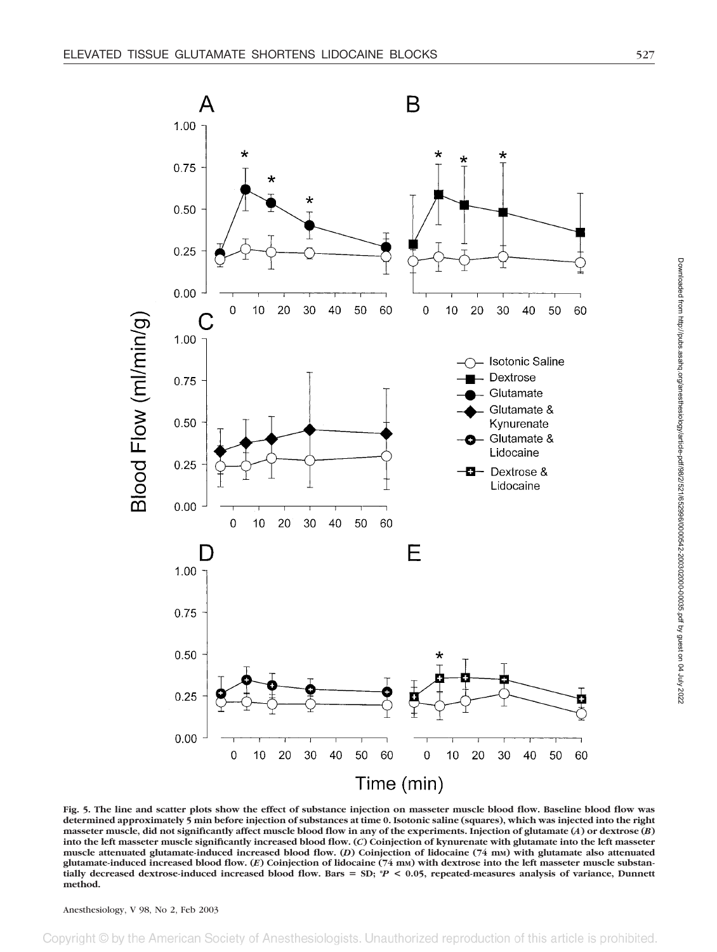

**Fig. 5. The line and scatter plots show the effect of substance injection on masseter muscle blood flow. Baseline blood flow was determined approximately 5 min before injection of substances at time 0. Isotonic saline (squares), which was injected into the right masseter muscle, did not significantly affect muscle blood flow in any of the experiments. Injection of glutamate (***A***) or dextrose (***B***) into the left masseter muscle significantly increased blood flow. (***C***) Coinjection of kynurenate with glutamate into the left masseter muscle attenuated glutamate-induced increased blood flow. (***D***) Coinjection of lidocaine (74 mM) with glutamate also attenuated glutamate-induced increased blood flow. (***E***) Coinjection of lidocaine (74 mM) with dextrose into the left masseter muscle substantially decreased dextrose-induced increased blood flow. Bars** - **SD; \****P* **< 0.05, repeated-measures analysis of variance, Dunnett method.**

Anesthesiology, V 98, No 2, Feb 2003

ociety of Anesthesiologists Inauthorized reproduction of this article is prohibited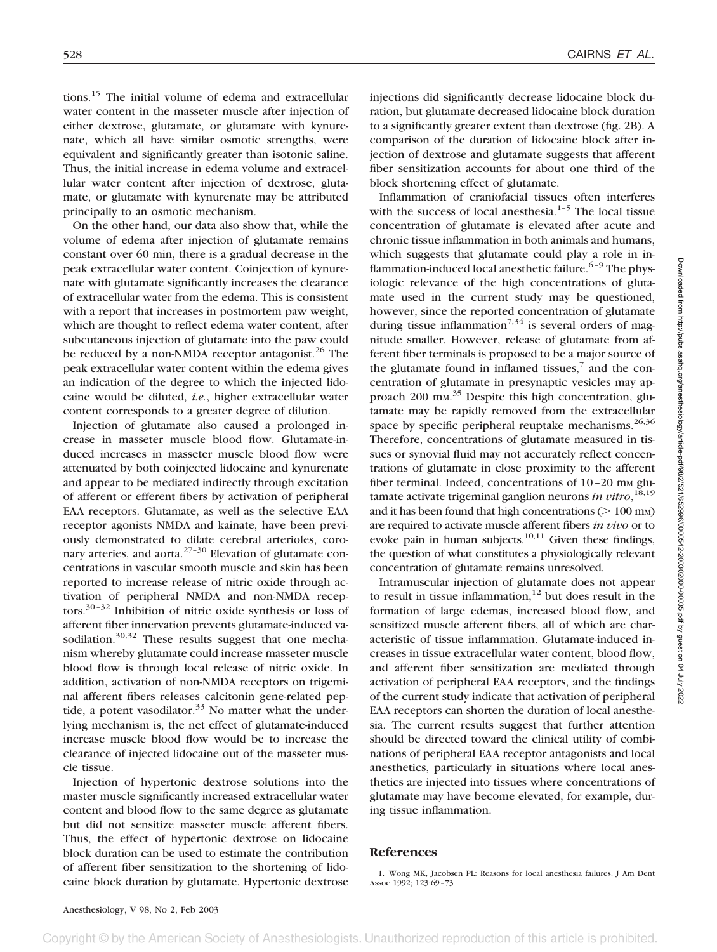tions.15 The initial volume of edema and extracellular water content in the masseter muscle after injection of either dextrose, glutamate, or glutamate with kynurenate, which all have similar osmotic strengths, were equivalent and significantly greater than isotonic saline. Thus, the initial increase in edema volume and extracellular water content after injection of dextrose, glutamate, or glutamate with kynurenate may be attributed principally to an osmotic mechanism.

On the other hand, our data also show that, while the volume of edema after injection of glutamate remains constant over 60 min, there is a gradual decrease in the peak extracellular water content. Coinjection of kynurenate with glutamate significantly increases the clearance of extracellular water from the edema. This is consistent with a report that increases in postmortem paw weight, which are thought to reflect edema water content, after subcutaneous injection of glutamate into the paw could be reduced by a non-NMDA receptor antagonist.<sup>26</sup> The peak extracellular water content within the edema gives an indication of the degree to which the injected lidocaine would be diluted, *i.e.*, higher extracellular water content corresponds to a greater degree of dilution.

Injection of glutamate also caused a prolonged increase in masseter muscle blood flow. Glutamate-induced increases in masseter muscle blood flow were attenuated by both coinjected lidocaine and kynurenate and appear to be mediated indirectly through excitation of afferent or efferent fibers by activation of peripheral EAA receptors. Glutamate, as well as the selective EAA receptor agonists NMDA and kainate, have been previously demonstrated to dilate cerebral arterioles, coronary arteries, and aorta. $27-30$  Elevation of glutamate concentrations in vascular smooth muscle and skin has been reported to increase release of nitric oxide through activation of peripheral NMDA and non-NMDA receptors.30–32 Inhibition of nitric oxide synthesis or loss of afferent fiber innervation prevents glutamate-induced vasodilation. $30,32$  These results suggest that one mechanism whereby glutamate could increase masseter muscle blood flow is through local release of nitric oxide. In addition, activation of non-NMDA receptors on trigeminal afferent fibers releases calcitonin gene-related peptide, a potent vasodilator.<sup>33</sup> No matter what the underlying mechanism is, the net effect of glutamate-induced increase muscle blood flow would be to increase the clearance of injected lidocaine out of the masseter muscle tissue.

Injection of hypertonic dextrose solutions into the master muscle significantly increased extracellular water content and blood flow to the same degree as glutamate but did not sensitize masseter muscle afferent fibers. Thus, the effect of hypertonic dextrose on lidocaine block duration can be used to estimate the contribution of afferent fiber sensitization to the shortening of lidocaine block duration by glutamate. Hypertonic dextrose

injections did significantly decrease lidocaine block duration, but glutamate decreased lidocaine block duration to a significantly greater extent than dextrose (fig. 2B). A comparison of the duration of lidocaine block after injection of dextrose and glutamate suggests that afferent fiber sensitization accounts for about one third of the block shortening effect of glutamate.

Inflammation of craniofacial tissues often interferes with the success of local anesthesia.<sup>1-5</sup> The local tissue concentration of glutamate is elevated after acute and chronic tissue inflammation in both animals and humans, which suggests that glutamate could play a role in inflammation-induced local anesthetic failure.<sup>6-9</sup> The physiologic relevance of the high concentrations of glutamate used in the current study may be questioned, however, since the reported concentration of glutamate during tissue inflammation<sup>7,34</sup> is several orders of magnitude smaller. However, release of glutamate from afferent fiber terminals is proposed to be a major source of the glutamate found in inflamed tissues, $\frac{7}{1}$  and the concentration of glutamate in presynaptic vesicles may approach 200 mm.<sup>35</sup> Despite this high concentration, glutamate may be rapidly removed from the extracellular space by specific peripheral reuptake mechanisms.<sup>26,36</sup> Therefore, concentrations of glutamate measured in tissues or synovial fluid may not accurately reflect concentrations of glutamate in close proximity to the afferent fiber terminal. Indeed, concentrations of 10-20 mm glutamate activate trigeminal ganglion neurons *in vitro*, 18,19 and it has been found that high concentrations  $(>100 \text{ mm})$ are required to activate muscle afferent fibers *in vivo* or to evoke pain in human subjects. $10,11$  Given these findings, the question of what constitutes a physiologically relevant concentration of glutamate remains unresolved.

Intramuscular injection of glutamate does not appear to result in tissue inflammation, $12$  but does result in the formation of large edemas, increased blood flow, and sensitized muscle afferent fibers, all of which are characteristic of tissue inflammation. Glutamate-induced increases in tissue extracellular water content, blood flow, and afferent fiber sensitization are mediated through activation of peripheral EAA receptors, and the findings of the current study indicate that activation of peripheral EAA receptors can shorten the duration of local anesthesia. The current results suggest that further attention should be directed toward the clinical utility of combinations of peripheral EAA receptor antagonists and local anesthetics, particularly in situations where local anesthetics are injected into tissues where concentrations of glutamate may have become elevated, for example, during tissue inflammation.

## **References**

1. Wong MK, Jacobsen PL: Reasons for local anesthesia failures. J Am Dent Assoc 1992; 123:69–73